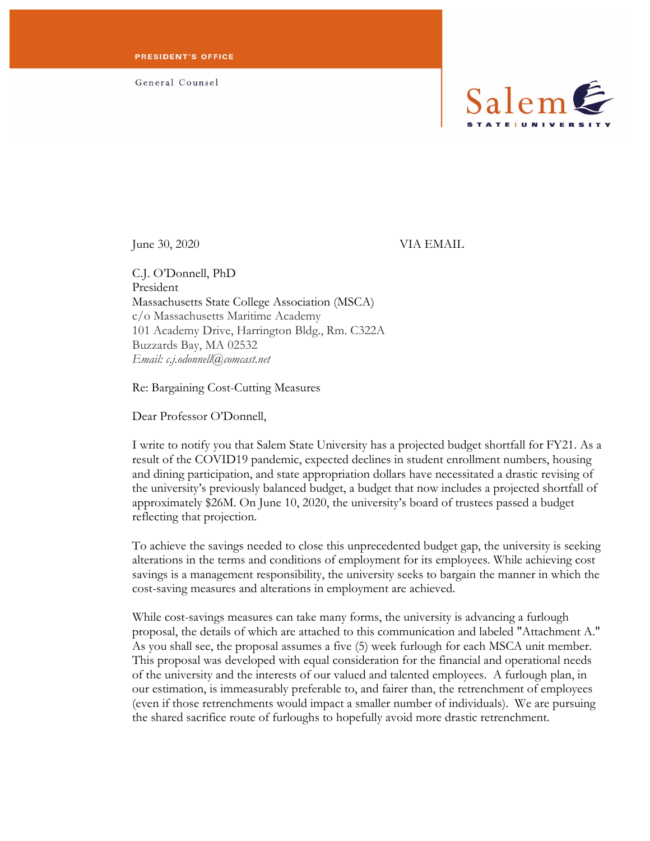General Counsel



June 30, 2020 VIA EMAIL

C.J. O'Donnell, PhD President Massachusetts State College Association (MSCA) c/o Massachusetts Maritime Academy 101 Academy Drive, Harrington Bldg., Rm. C322A Buzzards Bay, MA 02532 *Email: c.j.odonnell@comcast.net*

Re: Bargaining Cost-Cutting Measures

Dear Professor O'Donnell,

I write to notify you that Salem State University has a projected budget shortfall for FY21. As a result of the COVID19 pandemic, expected declines in student enrollment numbers, housing and dining participation, and state appropriation dollars have necessitated a drastic revising of the university's previously balanced budget, a budget that now includes a projected shortfall of approximately \$26M. On June 10, 2020, the university's board of trustees passed a budget reflecting that projection.

To achieve the savings needed to close this unprecedented budget gap, the university is seeking alterations in the terms and conditions of employment for its employees. While achieving cost savings is a management responsibility, the university seeks to bargain the manner in which the cost-saving measures and alterations in employment are achieved.

While cost-savings measures can take many forms, the university is advancing a furlough proposal, the details of which are attached to this communication and labeled "Attachment A." As you shall see, the proposal assumes a five (5) week furlough for each MSCA unit member. This proposal was developed with equal consideration for the financial and operational needs of the university and the interests of our valued and talented employees. A furlough plan, in our estimation, is immeasurably preferable to, and fairer than, the retrenchment of employees (even if those retrenchments would impact a smaller number of individuals). We are pursuing the shared sacrifice route of furloughs to hopefully avoid more drastic retrenchment.